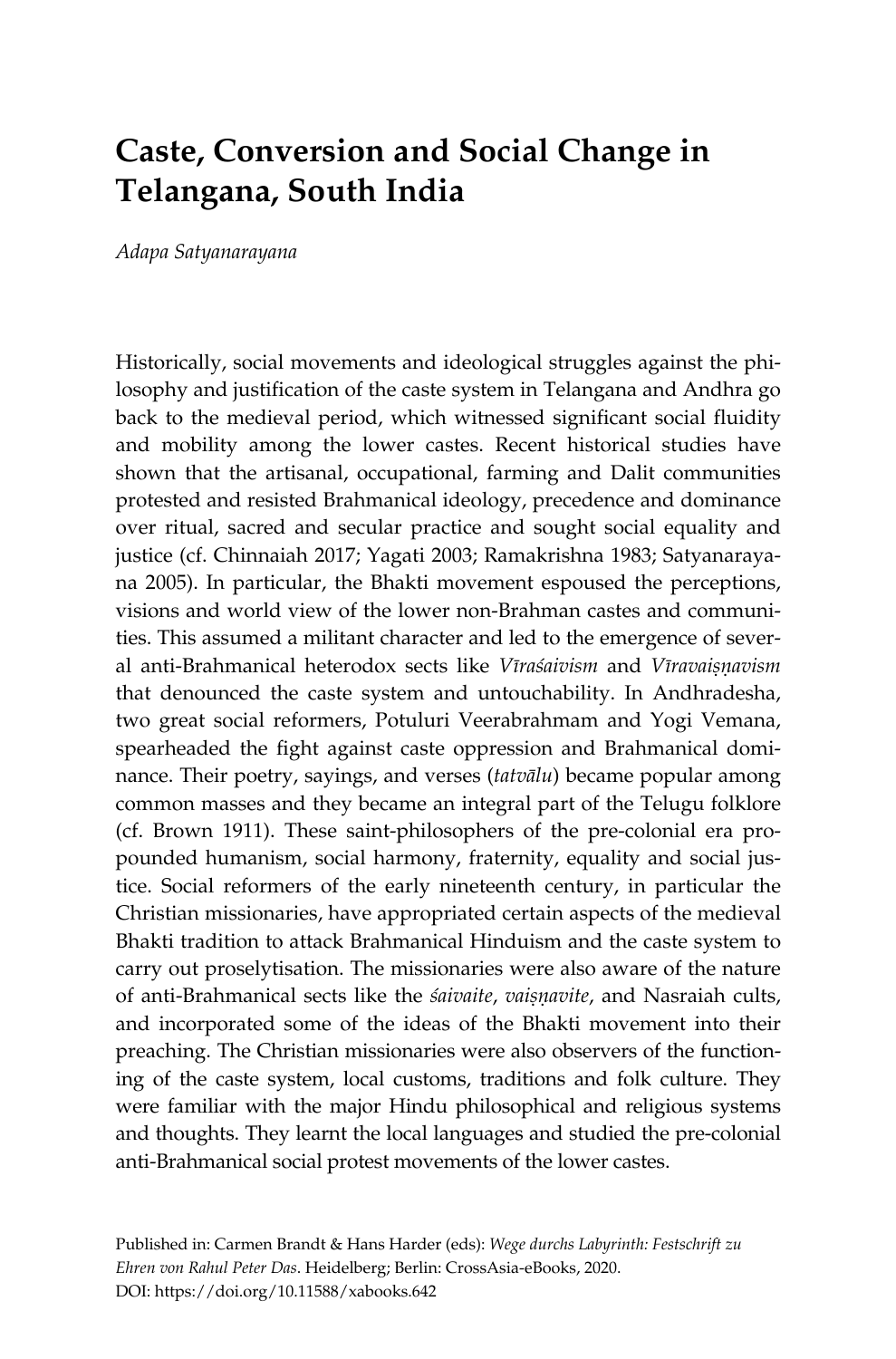# **Caste, Conversion and Social Change in Telangana, South India**

*Adapa Satyanarayana* 

Historically, social movements and ideological struggles against the philosophy and justification of the caste system in Telangana and Andhra go back to the medieval period, which witnessed significant social fluidity and mobility among the lower castes. Recent historical studies have shown that the artisanal, occupational, farming and Dalit communities protested and resisted Brahmanical ideology, precedence and dominance over ritual, sacred and secular practice and sought social equality and justice (cf. Chinnaiah 2017; Yagati 2003; Ramakrishna 1983; Satyanarayana 2005). In particular, the Bhakti movement espoused the perceptions, visions and world view of the lower non-Brahman castes and communities. This assumed a militant character and led to the emergence of several anti-Brahmanical heterodox sects like *Vīraśaivism* and *Vīravaisņavism* that denounced the caste system and untouchability. In Andhradesha, two great social reformers, Potuluri Veerabrahmam and Yogi Vemana, spearheaded the fight against caste oppression and Brahmanical dominance. Their poetry, sayings, and verses (*tatvālu*) became popular among common masses and they became an integral part of the Telugu folklore (cf. Brown 1911). These saint-philosophers of the pre-colonial era propounded humanism, social harmony, fraternity, equality and social justice. Social reformers of the early nineteenth century, in particular the Christian missionaries, have appropriated certain aspects of the medieval Bhakti tradition to attack Brahmanical Hinduism and the caste system to carry out proselytisation. The missionaries were also aware of the nature of anti-Brahmanical sects like the *śaivaite*, *vaiṣṇavite*, and Nasraiah cults, and incorporated some of the ideas of the Bhakti movement into their preaching. The Christian missionaries were also observers of the functioning of the caste system, local customs, traditions and folk culture. They were familiar with the major Hindu philosophical and religious systems and thoughts. They learnt the local languages and studied the pre-colonial anti-Brahmanical social protest movements of the lower castes.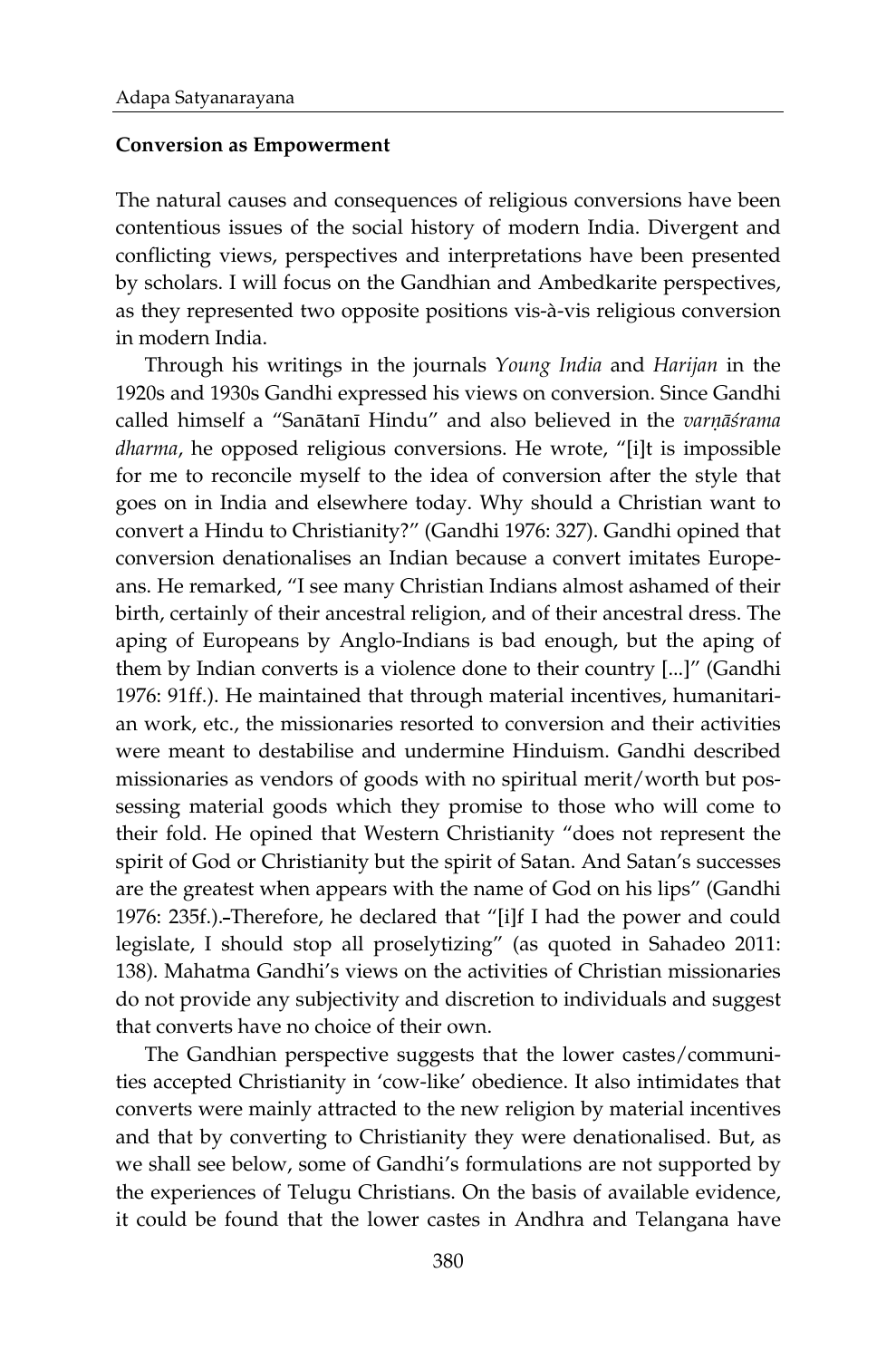#### **Conversion as Empowerment**

The natural causes and consequences of religious conversions have been contentious issues of the social history of modern India. Divergent and conflicting views, perspectives and interpretations have been presented by scholars. I will focus on the Gandhian and Ambedkarite perspectives, as they represented two opposite positions vis-à-vis religious conversion in modern India.

Through his writings in the journals *Young India* and *Harijan* in the 1920s and 1930s Gandhi expressed his views on conversion. Since Gandhi called himself a "Sanātanī Hindu" and also believed in the *varņāśrama dharma*, he opposed religious conversions. He wrote, "[i]t is impossible for me to reconcile myself to the idea of conversion after the style that goes on in India and elsewhere today. Why should a Christian want to convert a Hindu to Christianity?" (Gandhi 1976: 327). Gandhi opined that conversion denationalises an Indian because a convert imitates Europeans. He remarked, "I see many Christian Indians almost ashamed of their birth, certainly of their ancestral religion, and of their ancestral dress. The aping of Europeans by Anglo-Indians is bad enough, but the aping of them by Indian converts is a violence done to their country [...]" (Gandhi 1976: 91ff.). He maintained that through material incentives, humanitarian work, etc., the missionaries resorted to conversion and their activities were meant to destabilise and undermine Hinduism. Gandhi described missionaries as vendors of goods with no spiritual merit/worth but possessing material goods which they promise to those who will come to their fold. He opined that Western Christianity "does not represent the spirit of God or Christianity but the spirit of Satan. And Satan's successes are the greatest when appears with the name of God on his lips" (Gandhi 1976: 235f.). Therefore, he declared that "[i]f I had the power and could legislate, I should stop all proselytizing" (as quoted in Sahadeo 2011: 138). Mahatma Gandhi's views on the activities of Christian missionaries do not provide any subjectivity and discretion to individuals and suggest that converts have no choice of their own.

The Gandhian perspective suggests that the lower castes/communities accepted Christianity in 'cow-like' obedience. It also intimidates that converts were mainly attracted to the new religion by material incentives and that by converting to Christianity they were denationalised. But, as we shall see below, some of Gandhi's formulations are not supported by the experiences of Telugu Christians. On the basis of available evidence, it could be found that the lower castes in Andhra and Telangana have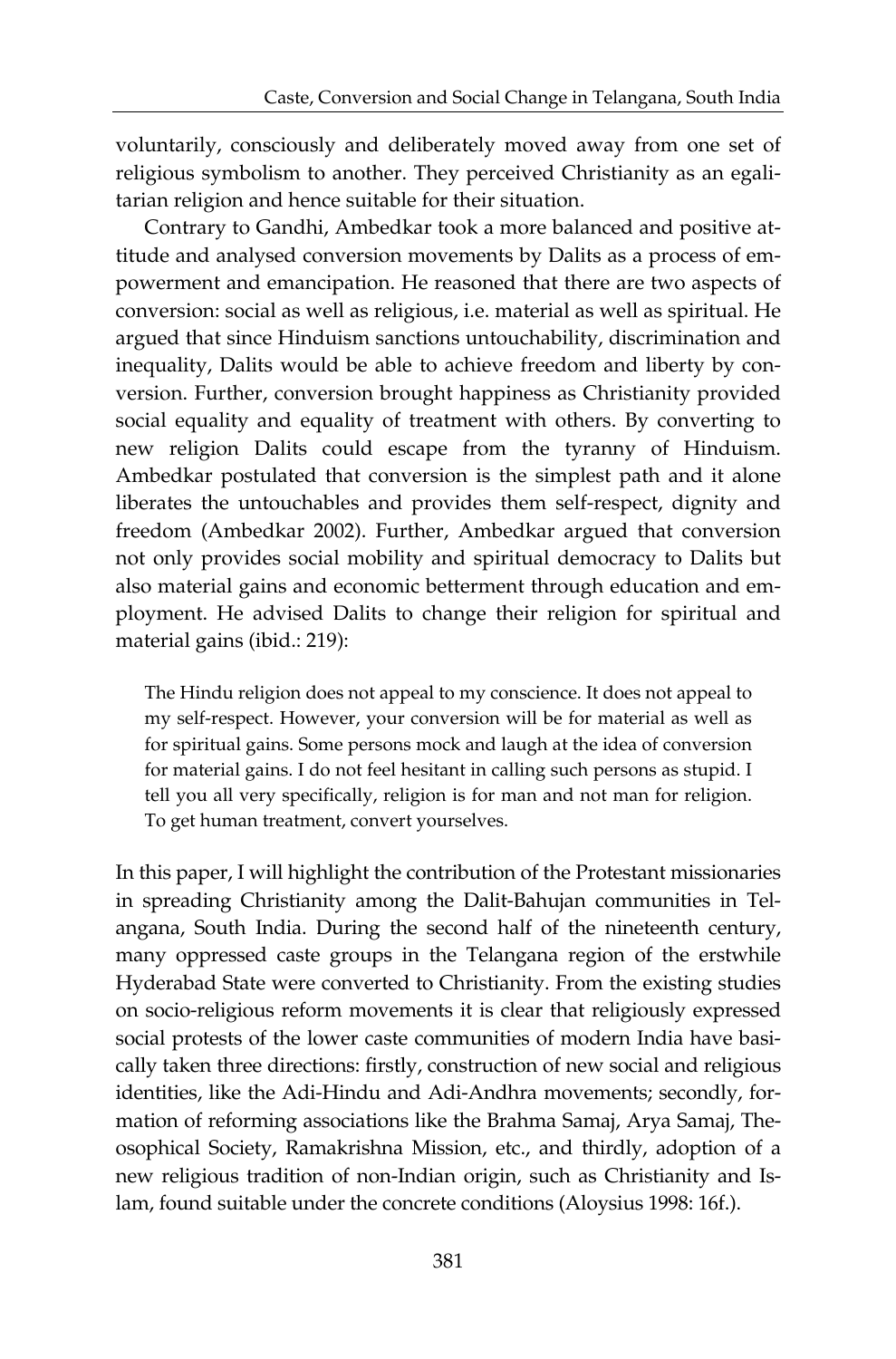voluntarily, consciously and deliberately moved away from one set of religious symbolism to another. They perceived Christianity as an egalitarian religion and hence suitable for their situation.

Contrary to Gandhi, Ambedkar took a more balanced and positive attitude and analysed conversion movements by Dalits as a process of empowerment and emancipation. He reasoned that there are two aspects of conversion: social as well as religious, i.e. material as well as spiritual. He argued that since Hinduism sanctions untouchability, discrimination and inequality, Dalits would be able to achieve freedom and liberty by conversion. Further, conversion brought happiness as Christianity provided social equality and equality of treatment with others. By converting to new religion Dalits could escape from the tyranny of Hinduism. Ambedkar postulated that conversion is the simplest path and it alone liberates the untouchables and provides them self-respect, dignity and freedom (Ambedkar 2002). Further, Ambedkar argued that conversion not only provides social mobility and spiritual democracy to Dalits but also material gains and economic betterment through education and employment. He advised Dalits to change their religion for spiritual and material gains (ibid.: 219):

The Hindu religion does not appeal to my conscience. It does not appeal to my self-respect. However, your conversion will be for material as well as for spiritual gains. Some persons mock and laugh at the idea of conversion for material gains. I do not feel hesitant in calling such persons as stupid. I tell you all very specifically, religion is for man and not man for religion. To get human treatment, convert yourselves.

In this paper, I will highlight the contribution of the Protestant missionaries in spreading Christianity among the Dalit-Bahujan communities in Telangana, South India. During the second half of the nineteenth century, many oppressed caste groups in the Telangana region of the erstwhile Hyderabad State were converted to Christianity. From the existing studies on socio-religious reform movements it is clear that religiously expressed social protests of the lower caste communities of modern India have basically taken three directions: firstly, construction of new social and religious identities, like the Adi-Hindu and Adi-Andhra movements; secondly, formation of reforming associations like the Brahma Samaj, Arya Samaj, Theosophical Society, Ramakrishna Mission, etc., and thirdly, adoption of a new religious tradition of non-Indian origin, such as Christianity and Islam, found suitable under the concrete conditions (Aloysius 1998: 16f.).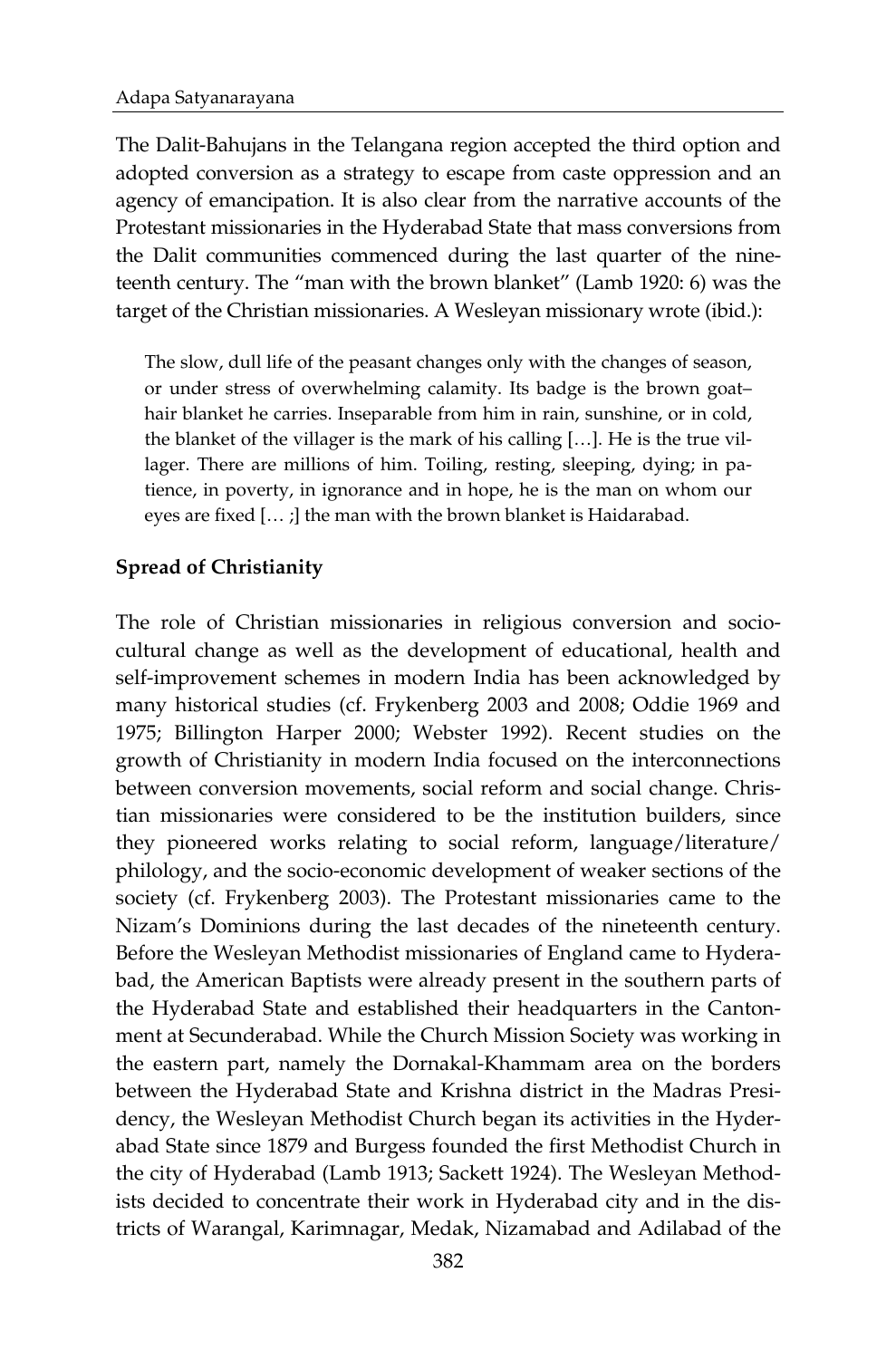The Dalit-Bahujans in the Telangana region accepted the third option and adopted conversion as a strategy to escape from caste oppression and an agency of emancipation. It is also clear from the narrative accounts of the Protestant missionaries in the Hyderabad State that mass conversions from the Dalit communities commenced during the last quarter of the nineteenth century. The "man with the brown blanket" (Lamb 1920: 6) was the target of the Christian missionaries. A Wesleyan missionary wrote (ibid.):

The slow, dull life of the peasant changes only with the changes of season, or under stress of overwhelming calamity. Its badge is the brown goat– hair blanket he carries. Inseparable from him in rain, sunshine, or in cold, the blanket of the villager is the mark of his calling […]. He is the true villager. There are millions of him. Toiling, resting, sleeping, dying; in patience, in poverty, in ignorance and in hope, he is the man on whom our eyes are fixed [… ;] the man with the brown blanket is Haidarabad.

### **Spread of Christianity**

The role of Christian missionaries in religious conversion and sociocultural change as well as the development of educational, health and self-improvement schemes in modern India has been acknowledged by many historical studies (cf. Frykenberg 2003 and 2008; Oddie 1969 and 1975; Billington Harper 2000; Webster 1992). Recent studies on the growth of Christianity in modern India focused on the interconnections between conversion movements, social reform and social change. Christian missionaries were considered to be the institution builders, since they pioneered works relating to social reform, language/literature/ philology, and the socio-economic development of weaker sections of the society (cf. Frykenberg 2003). The Protestant missionaries came to the Nizam's Dominions during the last decades of the nineteenth century. Before the Wesleyan Methodist missionaries of England came to Hyderabad, the American Baptists were already present in the southern parts of the Hyderabad State and established their headquarters in the Cantonment at Secunderabad. While the Church Mission Society was working in the eastern part, namely the Dornakal-Khammam area on the borders between the Hyderabad State and Krishna district in the Madras Presidency, the Wesleyan Methodist Church began its activities in the Hyderabad State since 1879 and Burgess founded the first Methodist Church in the city of Hyderabad (Lamb 1913; Sackett 1924). The Wesleyan Methodists decided to concentrate their work in Hyderabad city and in the districts of Warangal, Karimnagar, Medak, Nizamabad and Adilabad of the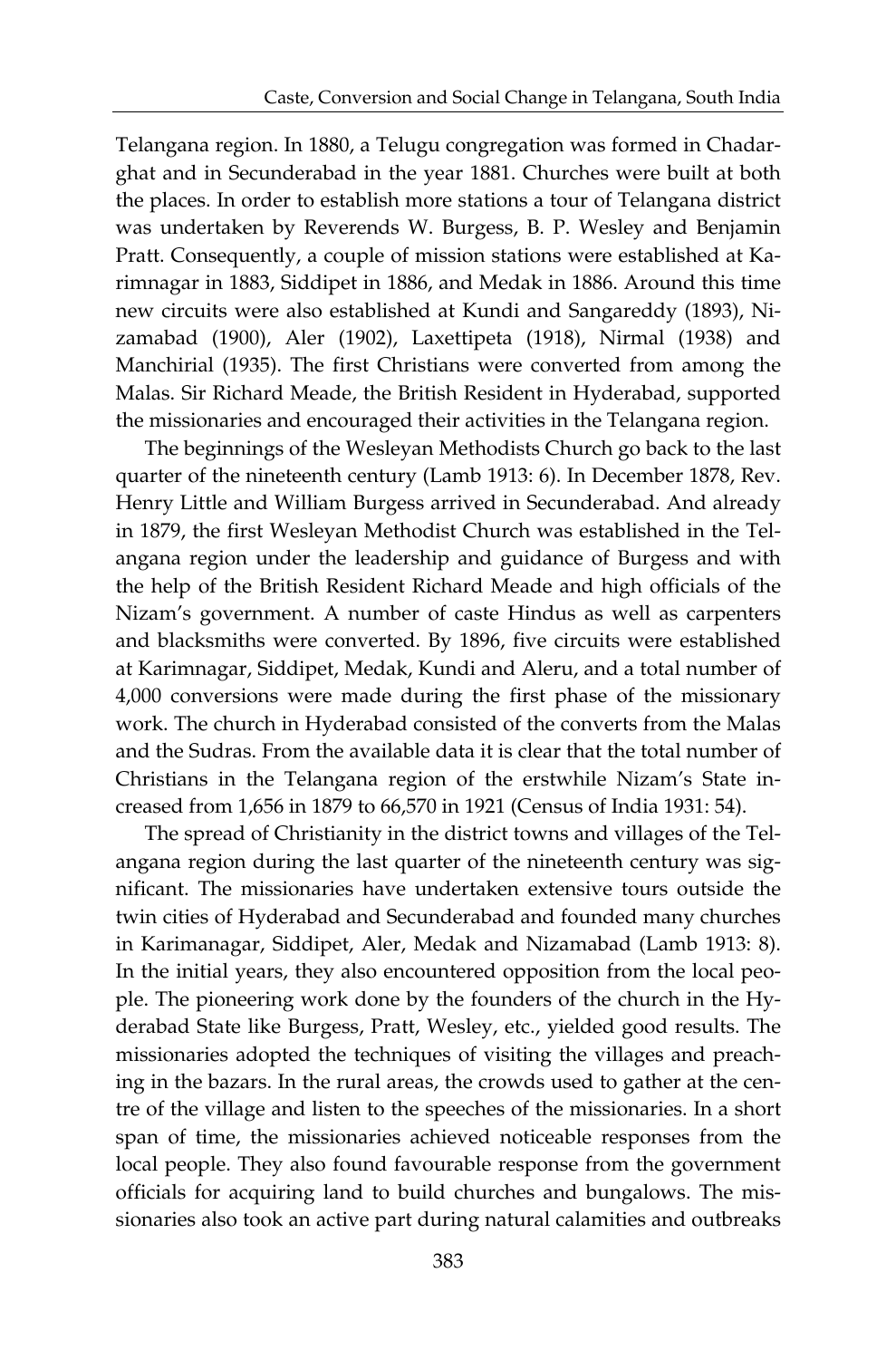Telangana region. In 1880, a Telugu congregation was formed in Chadarghat and in Secunderabad in the year 1881. Churches were built at both the places. In order to establish more stations a tour of Telangana district was undertaken by Reverends W. Burgess, B. P. Wesley and Benjamin Pratt. Consequently, a couple of mission stations were established at Karimnagar in 1883, Siddipet in 1886, and Medak in 1886. Around this time new circuits were also established at Kundi and Sangareddy (1893), Nizamabad (1900), Aler (1902), Laxettipeta (1918), Nirmal (1938) and Manchirial (1935). The first Christians were converted from among the Malas. Sir Richard Meade, the British Resident in Hyderabad, supported the missionaries and encouraged their activities in the Telangana region.

The beginnings of the Wesleyan Methodists Church go back to the last quarter of the nineteenth century (Lamb 1913: 6). In December 1878, Rev. Henry Little and William Burgess arrived in Secunderabad. And already in 1879, the first Wesleyan Methodist Church was established in the Telangana region under the leadership and guidance of Burgess and with the help of the British Resident Richard Meade and high officials of the Nizam's government. A number of caste Hindus as well as carpenters and blacksmiths were converted. By 1896, five circuits were established at Karimnagar, Siddipet, Medak, Kundi and Aleru, and a total number of 4,000 conversions were made during the first phase of the missionary work. The church in Hyderabad consisted of the converts from the Malas and the Sudras. From the available data it is clear that the total number of Christians in the Telangana region of the erstwhile Nizam's State increased from 1,656 in 1879 to 66,570 in 1921 (Census of India 1931: 54).

The spread of Christianity in the district towns and villages of the Telangana region during the last quarter of the nineteenth century was significant. The missionaries have undertaken extensive tours outside the twin cities of Hyderabad and Secunderabad and founded many churches in Karimanagar, Siddipet, Aler, Medak and Nizamabad (Lamb 1913: 8). In the initial years, they also encountered opposition from the local people. The pioneering work done by the founders of the church in the Hyderabad State like Burgess, Pratt, Wesley, etc., yielded good results. The missionaries adopted the techniques of visiting the villages and preaching in the bazars. In the rural areas, the crowds used to gather at the centre of the village and listen to the speeches of the missionaries. In a short span of time, the missionaries achieved noticeable responses from the local people. They also found favourable response from the government officials for acquiring land to build churches and bungalows. The missionaries also took an active part during natural calamities and outbreaks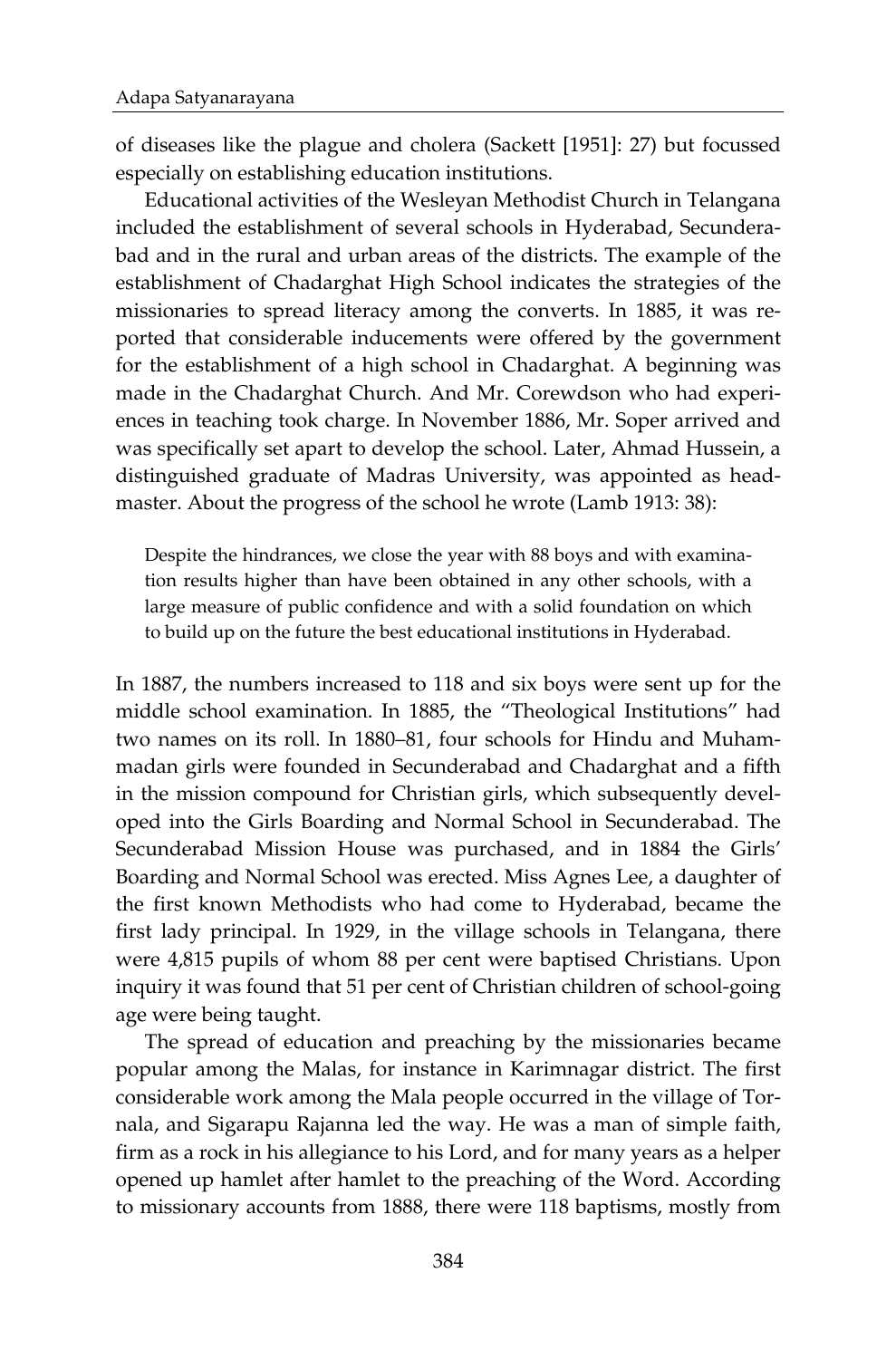of diseases like the plague and cholera (Sackett [1951]: 27) but focussed especially on establishing education institutions.

Educational activities of the Wesleyan Methodist Church in Telangana included the establishment of several schools in Hyderabad, Secunderabad and in the rural and urban areas of the districts. The example of the establishment of Chadarghat High School indicates the strategies of the missionaries to spread literacy among the converts. In 1885, it was reported that considerable inducements were offered by the government for the establishment of a high school in Chadarghat. A beginning was made in the Chadarghat Church. And Mr. Corewdson who had experiences in teaching took charge. In November 1886, Mr. Soper arrived and was specifically set apart to develop the school. Later, Ahmad Hussein, a distinguished graduate of Madras University, was appointed as headmaster. About the progress of the school he wrote (Lamb 1913: 38):

Despite the hindrances, we close the year with 88 boys and with examination results higher than have been obtained in any other schools, with a large measure of public confidence and with a solid foundation on which to build up on the future the best educational institutions in Hyderabad.

In 1887, the numbers increased to 118 and six boys were sent up for the middle school examination. In 1885, the "Theological Institutions" had two names on its roll. In 1880–81, four schools for Hindu and Muhammadan girls were founded in Secunderabad and Chadarghat and a fifth in the mission compound for Christian girls, which subsequently developed into the Girls Boarding and Normal School in Secunderabad. The Secunderabad Mission House was purchased, and in 1884 the Girls' Boarding and Normal School was erected. Miss Agnes Lee, a daughter of the first known Methodists who had come to Hyderabad, became the first lady principal. In 1929, in the village schools in Telangana, there were 4,815 pupils of whom 88 per cent were baptised Christians. Upon inquiry it was found that 51 per cent of Christian children of school-going age were being taught.

The spread of education and preaching by the missionaries became popular among the Malas, for instance in Karimnagar district. The first considerable work among the Mala people occurred in the village of Tornala, and Sigarapu Rajanna led the way. He was a man of simple faith, firm as a rock in his allegiance to his Lord, and for many years as a helper opened up hamlet after hamlet to the preaching of the Word. According to missionary accounts from 1888, there were 118 baptisms, mostly from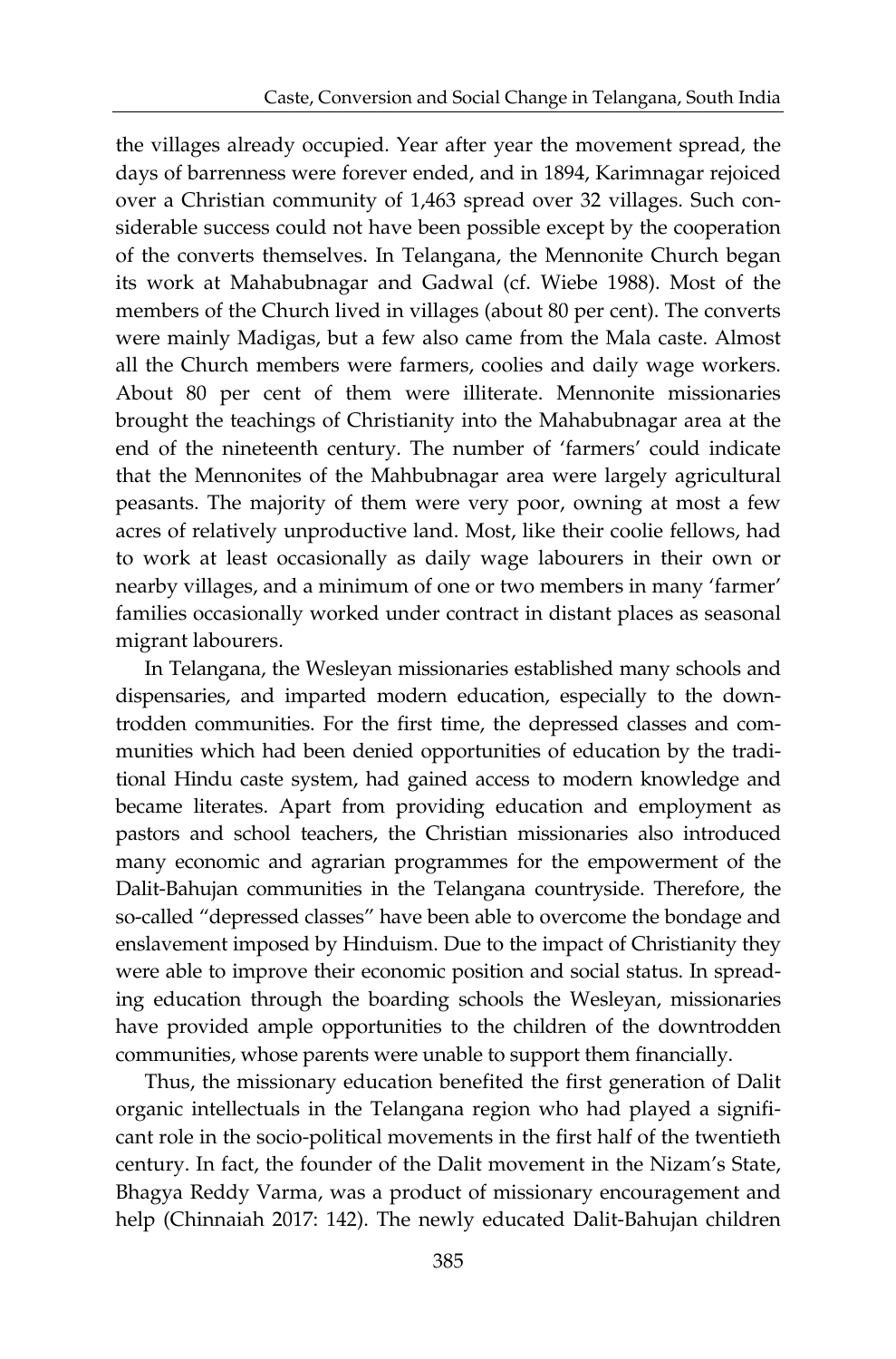the villages already occupied. Year after year the movement spread, the days of barrenness were forever ended, and in 1894, Karimnagar rejoiced over a Christian community of 1,463 spread over 32 villages. Such considerable success could not have been possible except by the cooperation of the converts themselves. In Telangana, the Mennonite Church began its work at Mahabubnagar and Gadwal (cf. Wiebe 1988). Most of the members of the Church lived in villages (about 80 per cent). The converts were mainly Madigas, but a few also came from the Mala caste. Almost all the Church members were farmers, coolies and daily wage workers. About 80 per cent of them were illiterate. Mennonite missionaries brought the teachings of Christianity into the Mahabubnagar area at the end of the nineteenth century. The number of 'farmers' could indicate that the Mennonites of the Mahbubnagar area were largely agricultural peasants. The majority of them were very poor, owning at most a few acres of relatively unproductive land. Most, like their coolie fellows, had to work at least occasionally as daily wage labourers in their own or nearby villages, and a minimum of one or two members in many 'farmer' families occasionally worked under contract in distant places as seasonal migrant labourers.

In Telangana, the Wesleyan missionaries established many schools and dispensaries, and imparted modern education, especially to the downtrodden communities. For the first time, the depressed classes and communities which had been denied opportunities of education by the traditional Hindu caste system, had gained access to modern knowledge and became literates. Apart from providing education and employment as pastors and school teachers, the Christian missionaries also introduced many economic and agrarian programmes for the empowerment of the Dalit-Bahujan communities in the Telangana countryside. Therefore, the so-called "depressed classes" have been able to overcome the bondage and enslavement imposed by Hinduism. Due to the impact of Christianity they were able to improve their economic position and social status. In spreading education through the boarding schools the Wesleyan, missionaries have provided ample opportunities to the children of the downtrodden communities, whose parents were unable to support them financially.

Thus, the missionary education benefited the first generation of Dalit organic intellectuals in the Telangana region who had played a significant role in the socio-political movements in the first half of the twentieth century. In fact, the founder of the Dalit movement in the Nizam's State, Bhagya Reddy Varma, was a product of missionary encouragement and help (Chinnaiah 2017: 142). The newly educated Dalit-Bahujan children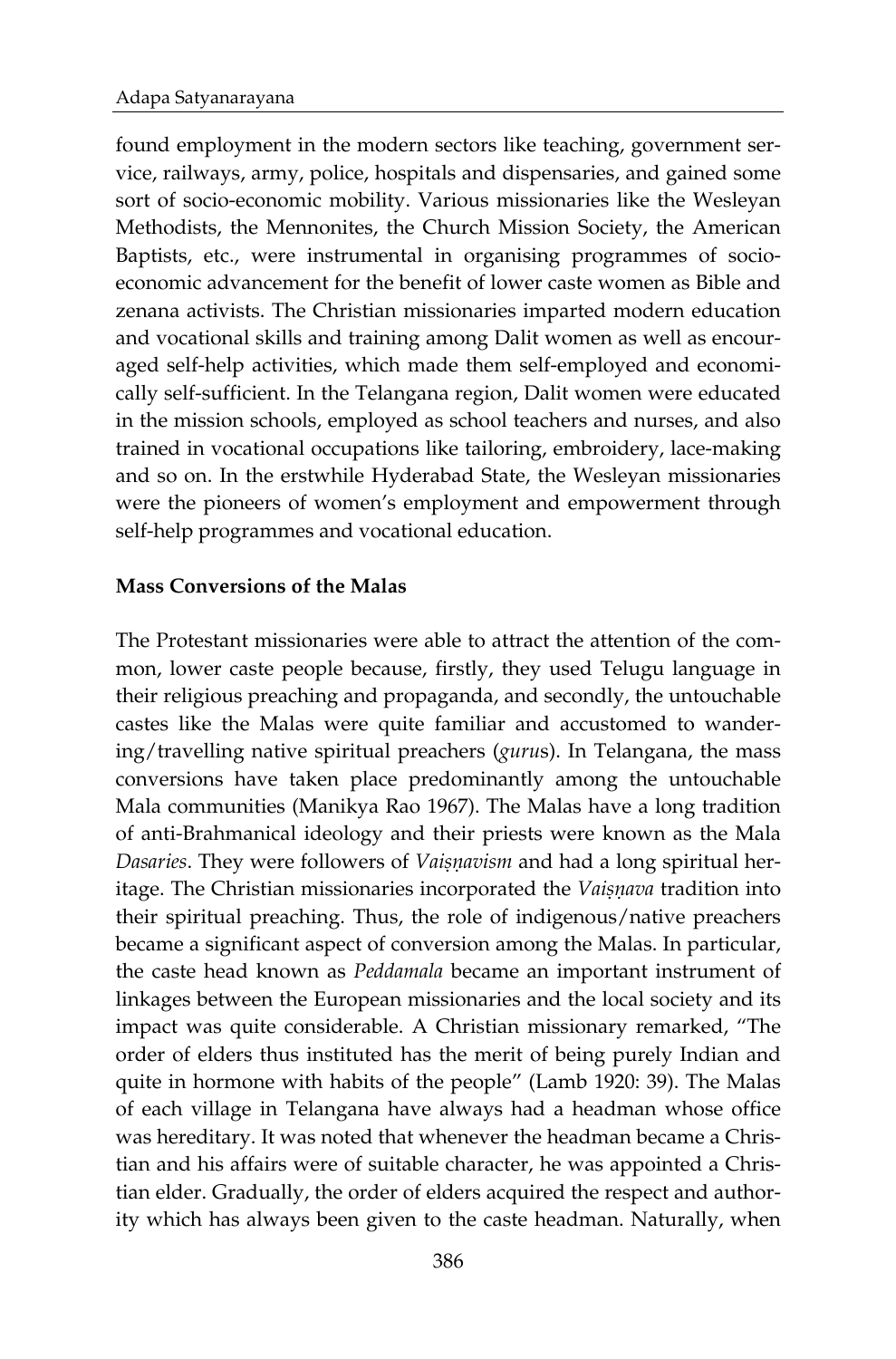found employment in the modern sectors like teaching, government service, railways, army, police, hospitals and dispensaries, and gained some sort of socio-economic mobility. Various missionaries like the Wesleyan Methodists, the Mennonites, the Church Mission Society, the American Baptists, etc., were instrumental in organising programmes of socioeconomic advancement for the benefit of lower caste women as Bible and zenana activists. The Christian missionaries imparted modern education and vocational skills and training among Dalit women as well as encouraged self-help activities, which made them self-employed and economically self-sufficient. In the Telangana region, Dalit women were educated in the mission schools, employed as school teachers and nurses, and also trained in vocational occupations like tailoring, embroidery, lace-making and so on. In the erstwhile Hyderabad State, the Wesleyan missionaries were the pioneers of women's employment and empowerment through self-help programmes and vocational education.

### **Mass Conversions of the Malas**

The Protestant missionaries were able to attract the attention of the common, lower caste people because, firstly, they used Telugu language in their religious preaching and propaganda, and secondly, the untouchable castes like the Malas were quite familiar and accustomed to wandering/travelling native spiritual preachers (*guru*s). In Telangana, the mass conversions have taken place predominantly among the untouchable Mala communities (Manikya Rao 1967). The Malas have a long tradition of anti-Brahmanical ideology and their priests were known as the Mala *Dasaries*. They were followers of *Vaisnavism* and had a long spiritual heritage. The Christian missionaries incorporated the *Vaisnava* tradition into their spiritual preaching. Thus, the role of indigenous/native preachers became a significant aspect of conversion among the Malas. In particular, the caste head known as *Peddamala* became an important instrument of linkages between the European missionaries and the local society and its impact was quite considerable. A Christian missionary remarked, "The order of elders thus instituted has the merit of being purely Indian and quite in hormone with habits of the people" (Lamb 1920: 39). The Malas of each village in Telangana have always had a headman whose office was hereditary. It was noted that whenever the headman became a Christian and his affairs were of suitable character, he was appointed a Christian elder. Gradually, the order of elders acquired the respect and authority which has always been given to the caste headman. Naturally, when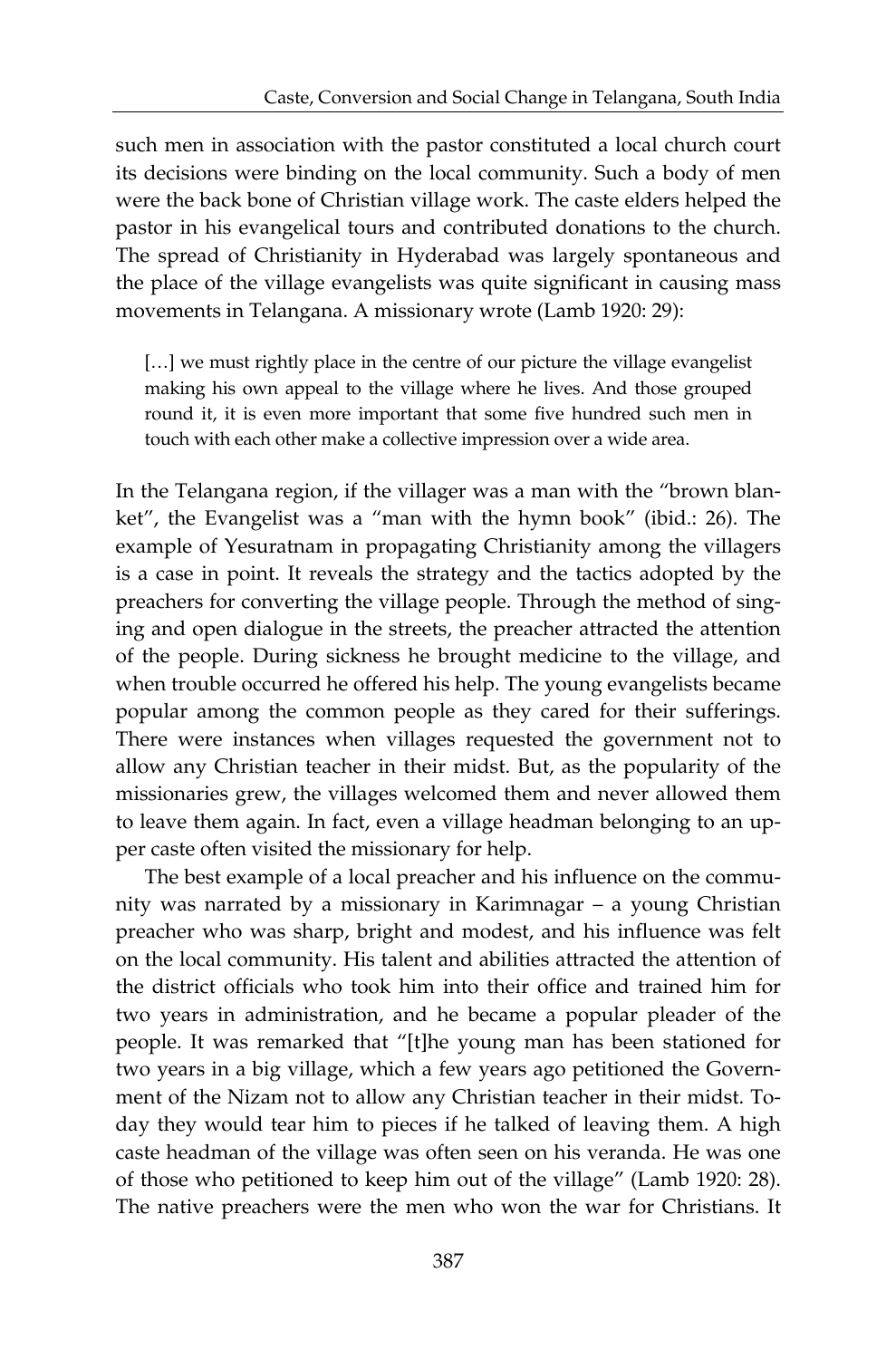such men in association with the pastor constituted a local church court its decisions were binding on the local community. Such a body of men were the back bone of Christian village work. The caste elders helped the pastor in his evangelical tours and contributed donations to the church. The spread of Christianity in Hyderabad was largely spontaneous and the place of the village evangelists was quite significant in causing mass movements in Telangana. A missionary wrote (Lamb 1920: 29):

[...] we must rightly place in the centre of our picture the village evangelist making his own appeal to the village where he lives. And those grouped round it, it is even more important that some five hundred such men in touch with each other make a collective impression over a wide area.

In the Telangana region, if the villager was a man with the "brown blanket", the Evangelist was a "man with the hymn book" (ibid.: 26). The example of Yesuratnam in propagating Christianity among the villagers is a case in point. It reveals the strategy and the tactics adopted by the preachers for converting the village people. Through the method of singing and open dialogue in the streets, the preacher attracted the attention of the people. During sickness he brought medicine to the village, and when trouble occurred he offered his help. The young evangelists became popular among the common people as they cared for their sufferings. There were instances when villages requested the government not to allow any Christian teacher in their midst. But, as the popularity of the missionaries grew, the villages welcomed them and never allowed them to leave them again. In fact, even a village headman belonging to an upper caste often visited the missionary for help.

The best example of a local preacher and his influence on the community was narrated by a missionary in Karimnagar – a young Christian preacher who was sharp, bright and modest, and his influence was felt on the local community. His talent and abilities attracted the attention of the district officials who took him into their office and trained him for two years in administration, and he became a popular pleader of the people. It was remarked that "[t]he young man has been stationed for two years in a big village, which a few years ago petitioned the Government of the Nizam not to allow any Christian teacher in their midst. Today they would tear him to pieces if he talked of leaving them. A high caste headman of the village was often seen on his veranda. He was one of those who petitioned to keep him out of the village" (Lamb 1920: 28). The native preachers were the men who won the war for Christians. It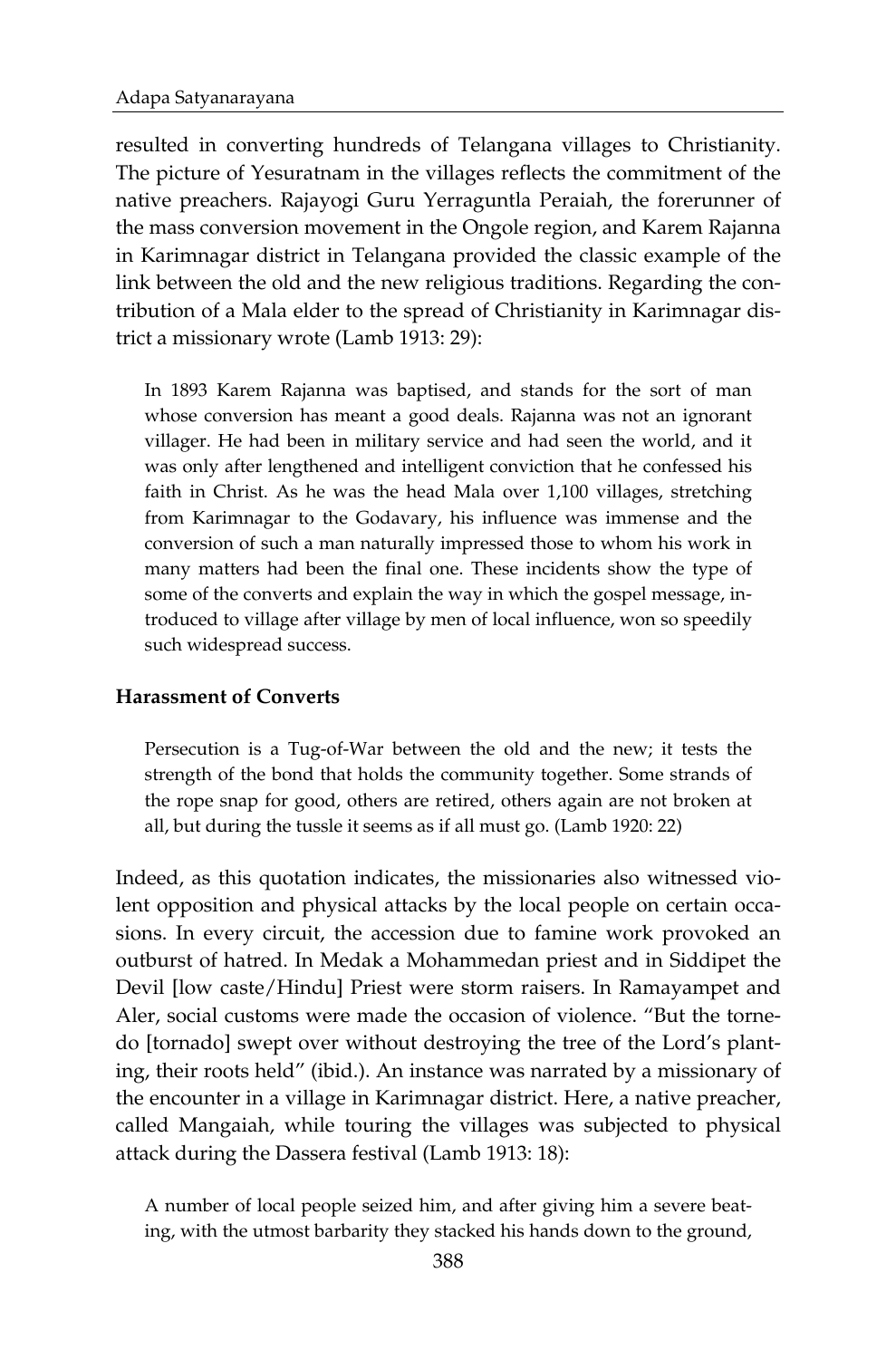resulted in converting hundreds of Telangana villages to Christianity. The picture of Yesuratnam in the villages reflects the commitment of the native preachers. Rajayogi Guru Yerraguntla Peraiah, the forerunner of the mass conversion movement in the Ongole region, and Karem Rajanna in Karimnagar district in Telangana provided the classic example of the link between the old and the new religious traditions. Regarding the contribution of a Mala elder to the spread of Christianity in Karimnagar district a missionary wrote (Lamb 1913: 29):

In 1893 Karem Rajanna was baptised, and stands for the sort of man whose conversion has meant a good deals. Rajanna was not an ignorant villager. He had been in military service and had seen the world, and it was only after lengthened and intelligent conviction that he confessed his faith in Christ. As he was the head Mala over 1,100 villages, stretching from Karimnagar to the Godavary, his influence was immense and the conversion of such a man naturally impressed those to whom his work in many matters had been the final one. These incidents show the type of some of the converts and explain the way in which the gospel message, introduced to village after village by men of local influence, won so speedily such widespread success.

#### **Harassment of Converts**

Persecution is a Tug-of-War between the old and the new; it tests the strength of the bond that holds the community together. Some strands of the rope snap for good, others are retired, others again are not broken at all, but during the tussle it seems as if all must go. (Lamb 1920: 22)

Indeed, as this quotation indicates, the missionaries also witnessed violent opposition and physical attacks by the local people on certain occasions. In every circuit, the accession due to famine work provoked an outburst of hatred. In Medak a Mohammedan priest and in Siddipet the Devil [low caste/Hindu] Priest were storm raisers. In Ramayampet and Aler, social customs were made the occasion of violence. "But the tornedo [tornado] swept over without destroying the tree of the Lord's planting, their roots held" (ibid.). An instance was narrated by a missionary of the encounter in a village in Karimnagar district. Here, a native preacher, called Mangaiah, while touring the villages was subjected to physical attack during the Dassera festival (Lamb 1913: 18):

A number of local people seized him, and after giving him a severe beating, with the utmost barbarity they stacked his hands down to the ground,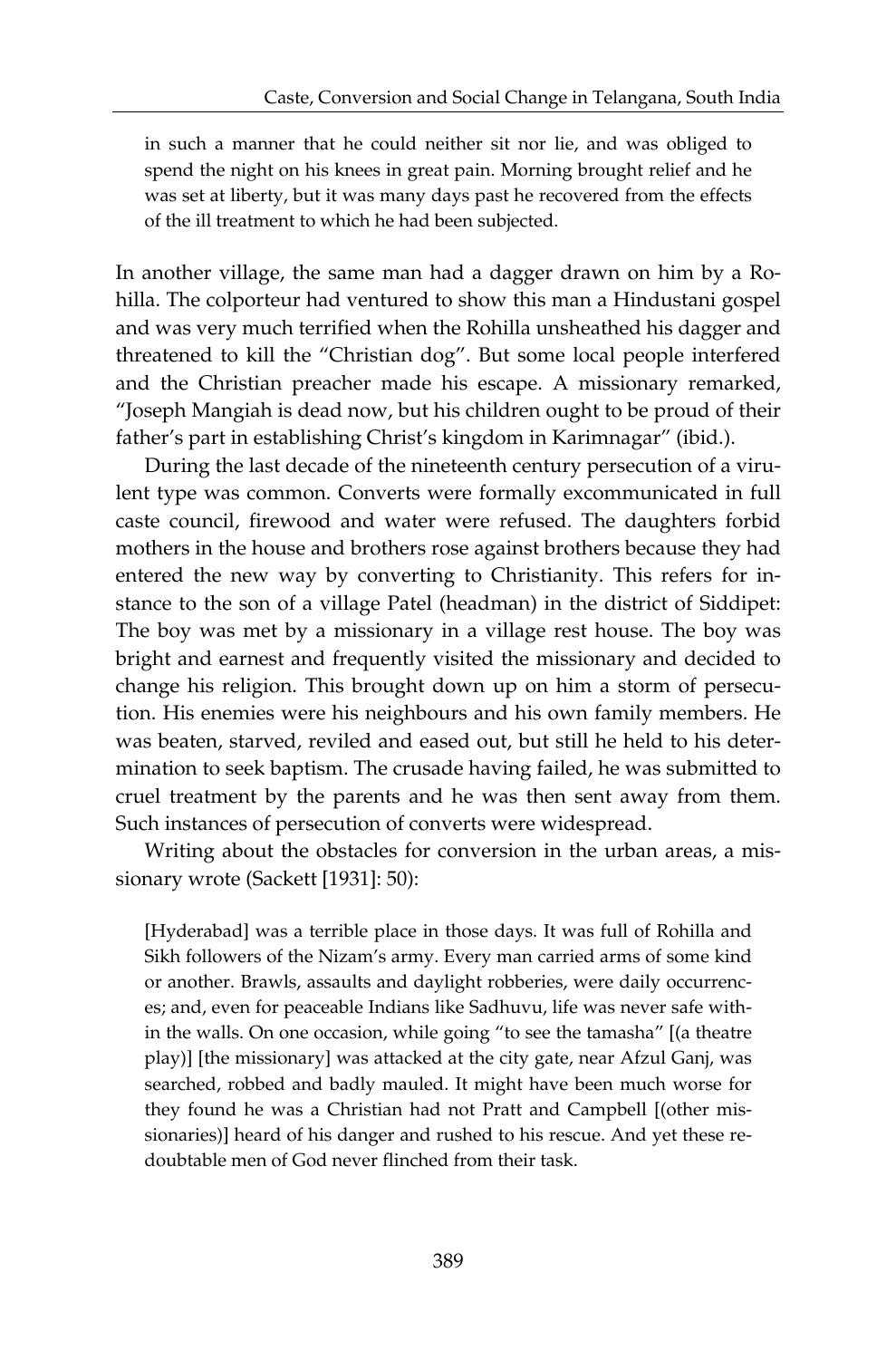in such a manner that he could neither sit nor lie, and was obliged to spend the night on his knees in great pain. Morning brought relief and he was set at liberty, but it was many days past he recovered from the effects of the ill treatment to which he had been subjected.

In another village, the same man had a dagger drawn on him by a Rohilla. The colporteur had ventured to show this man a Hindustani gospel and was very much terrified when the Rohilla unsheathed his dagger and threatened to kill the "Christian dog". But some local people interfered and the Christian preacher made his escape. A missionary remarked, "Joseph Mangiah is dead now, but his children ought to be proud of their father's part in establishing Christ's kingdom in Karimnagar" (ibid.).

During the last decade of the nineteenth century persecution of a virulent type was common. Converts were formally excommunicated in full caste council, firewood and water were refused. The daughters forbid mothers in the house and brothers rose against brothers because they had entered the new way by converting to Christianity. This refers for instance to the son of a village Patel (headman) in the district of Siddipet: The boy was met by a missionary in a village rest house. The boy was bright and earnest and frequently visited the missionary and decided to change his religion. This brought down up on him a storm of persecution. His enemies were his neighbours and his own family members. He was beaten, starved, reviled and eased out, but still he held to his determination to seek baptism. The crusade having failed, he was submitted to cruel treatment by the parents and he was then sent away from them. Such instances of persecution of converts were widespread.

Writing about the obstacles for conversion in the urban areas, a missionary wrote (Sackett [1931]: 50):

[Hyderabad] was a terrible place in those days. It was full of Rohilla and Sikh followers of the Nizam's army. Every man carried arms of some kind or another. Brawls, assaults and daylight robberies, were daily occurrences; and, even for peaceable Indians like Sadhuvu, life was never safe within the walls. On one occasion, while going "to see the tamasha" [(a theatre play)] [the missionary] was attacked at the city gate, near Afzul Ganj, was searched, robbed and badly mauled. It might have been much worse for they found he was a Christian had not Pratt and Campbell [(other missionaries)] heard of his danger and rushed to his rescue. And yet these redoubtable men of God never flinched from their task.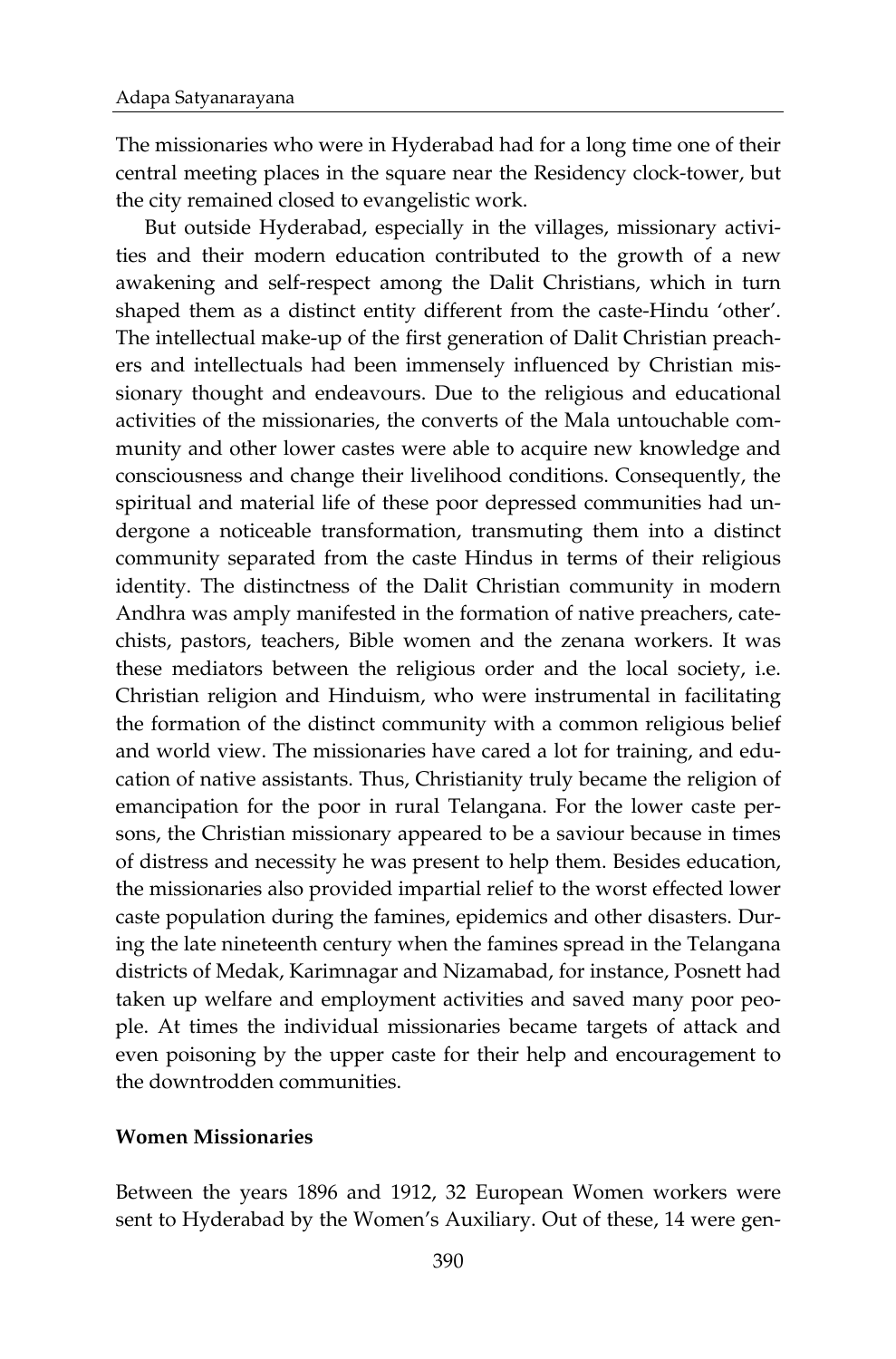The missionaries who were in Hyderabad had for a long time one of their central meeting places in the square near the Residency clock-tower, but the city remained closed to evangelistic work.

But outside Hyderabad, especially in the villages, missionary activities and their modern education contributed to the growth of a new awakening and self-respect among the Dalit Christians, which in turn shaped them as a distinct entity different from the caste-Hindu 'other'. The intellectual make-up of the first generation of Dalit Christian preachers and intellectuals had been immensely influenced by Christian missionary thought and endeavours. Due to the religious and educational activities of the missionaries, the converts of the Mala untouchable community and other lower castes were able to acquire new knowledge and consciousness and change their livelihood conditions. Consequently, the spiritual and material life of these poor depressed communities had undergone a noticeable transformation, transmuting them into a distinct community separated from the caste Hindus in terms of their religious identity. The distinctness of the Dalit Christian community in modern Andhra was amply manifested in the formation of native preachers, catechists, pastors, teachers, Bible women and the zenana workers. It was these mediators between the religious order and the local society, i.e. Christian religion and Hinduism, who were instrumental in facilitating the formation of the distinct community with a common religious belief and world view. The missionaries have cared a lot for training, and education of native assistants. Thus, Christianity truly became the religion of emancipation for the poor in rural Telangana. For the lower caste persons, the Christian missionary appeared to be a saviour because in times of distress and necessity he was present to help them. Besides education, the missionaries also provided impartial relief to the worst effected lower caste population during the famines, epidemics and other disasters. During the late nineteenth century when the famines spread in the Telangana districts of Medak, Karimnagar and Nizamabad, for instance, Posnett had taken up welfare and employment activities and saved many poor people. At times the individual missionaries became targets of attack and even poisoning by the upper caste for their help and encouragement to the downtrodden communities.

#### **Women Missionaries**

Between the years 1896 and 1912, 32 European Women workers were sent to Hyderabad by the Women's Auxiliary. Out of these, 14 were gen-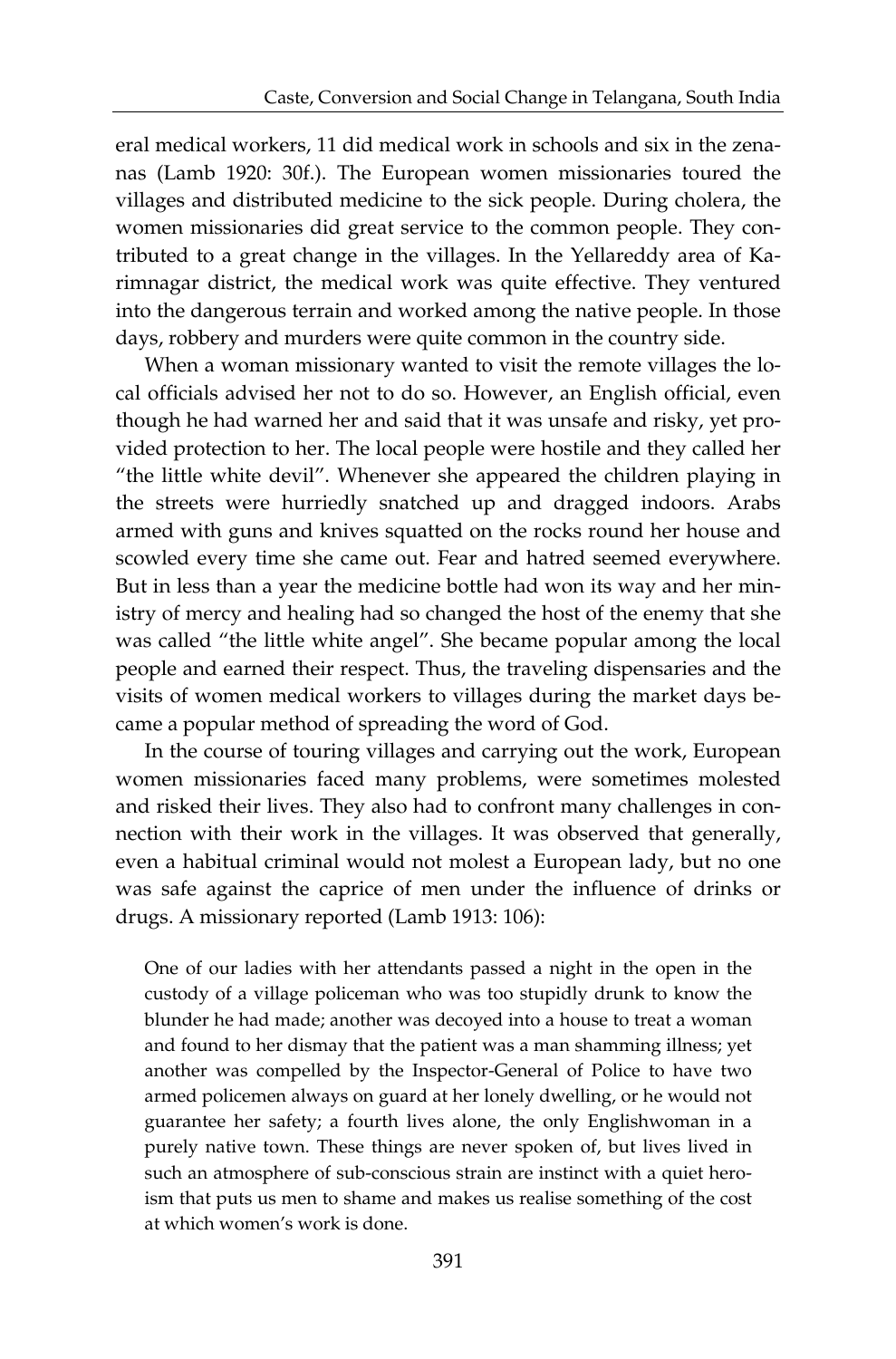eral medical workers, 11 did medical work in schools and six in the zenanas (Lamb 1920: 30f.). The European women missionaries toured the villages and distributed medicine to the sick people. During cholera, the women missionaries did great service to the common people. They contributed to a great change in the villages. In the Yellareddy area of Karimnagar district, the medical work was quite effective. They ventured into the dangerous terrain and worked among the native people. In those days, robbery and murders were quite common in the country side.

When a woman missionary wanted to visit the remote villages the local officials advised her not to do so. However, an English official, even though he had warned her and said that it was unsafe and risky, yet provided protection to her. The local people were hostile and they called her "the little white devil". Whenever she appeared the children playing in the streets were hurriedly snatched up and dragged indoors. Arabs armed with guns and knives squatted on the rocks round her house and scowled every time she came out. Fear and hatred seemed everywhere. But in less than a year the medicine bottle had won its way and her ministry of mercy and healing had so changed the host of the enemy that she was called "the little white angel". She became popular among the local people and earned their respect. Thus, the traveling dispensaries and the visits of women medical workers to villages during the market days became a popular method of spreading the word of God.

In the course of touring villages and carrying out the work, European women missionaries faced many problems, were sometimes molested and risked their lives. They also had to confront many challenges in connection with their work in the villages. It was observed that generally, even a habitual criminal would not molest a European lady, but no one was safe against the caprice of men under the influence of drinks or drugs. A missionary reported (Lamb 1913: 106):

One of our ladies with her attendants passed a night in the open in the custody of a village policeman who was too stupidly drunk to know the blunder he had made; another was decoyed into a house to treat a woman and found to her dismay that the patient was a man shamming illness; yet another was compelled by the Inspector-General of Police to have two armed policemen always on guard at her lonely dwelling, or he would not guarantee her safety; a fourth lives alone, the only Englishwoman in a purely native town. These things are never spoken of, but lives lived in such an atmosphere of sub-conscious strain are instinct with a quiet heroism that puts us men to shame and makes us realise something of the cost at which women's work is done.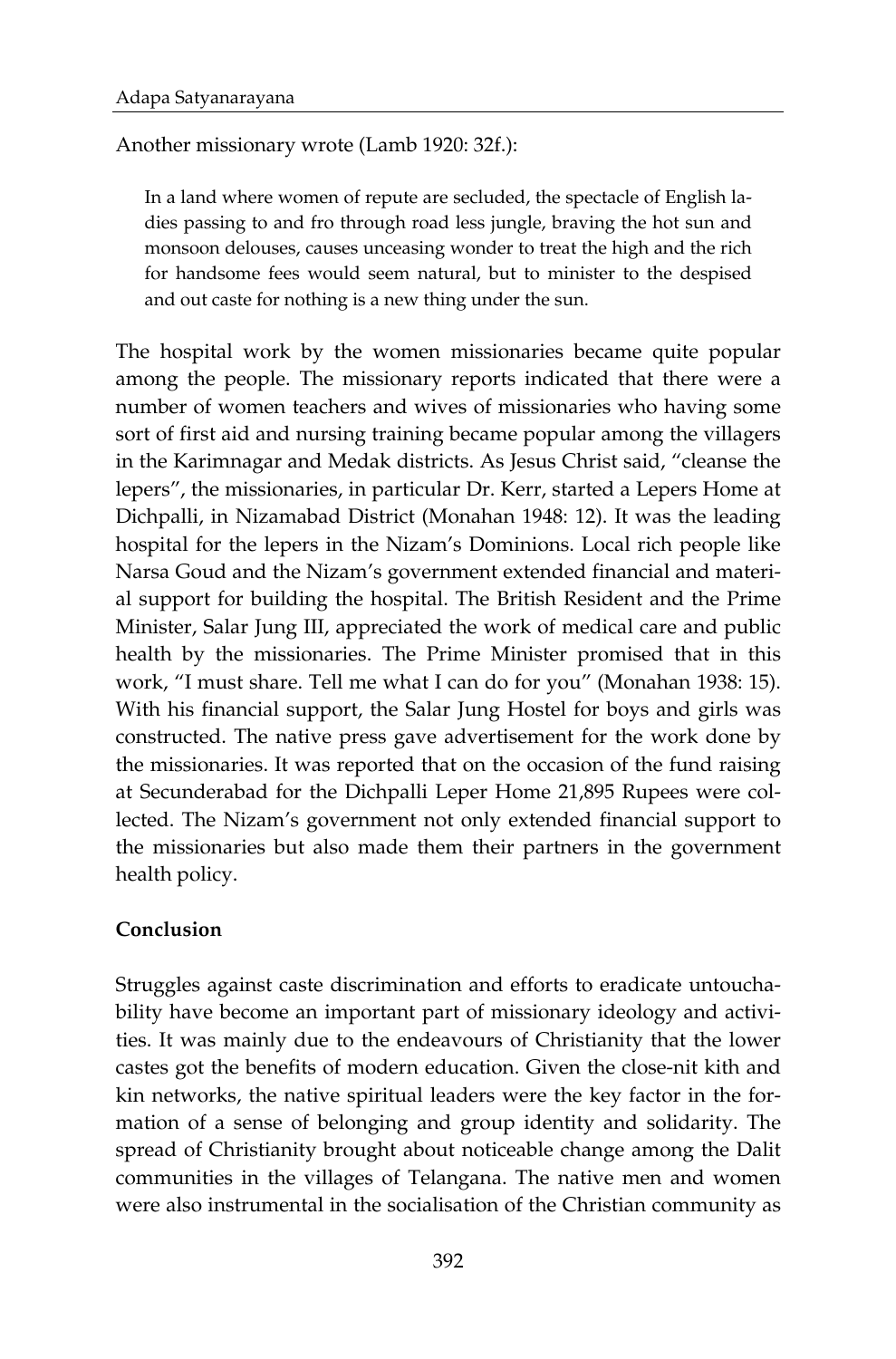Another missionary wrote (Lamb 1920: 32f.):

In a land where women of repute are secluded, the spectacle of English ladies passing to and fro through road less jungle, braving the hot sun and monsoon delouses, causes unceasing wonder to treat the high and the rich for handsome fees would seem natural, but to minister to the despised and out caste for nothing is a new thing under the sun.

The hospital work by the women missionaries became quite popular among the people. The missionary reports indicated that there were a number of women teachers and wives of missionaries who having some sort of first aid and nursing training became popular among the villagers in the Karimnagar and Medak districts. As Jesus Christ said, "cleanse the lepers", the missionaries, in particular Dr. Kerr, started a Lepers Home at Dichpalli, in Nizamabad District (Monahan 1948: 12). It was the leading hospital for the lepers in the Nizam's Dominions. Local rich people like Narsa Goud and the Nizam's government extended financial and material support for building the hospital. The British Resident and the Prime Minister, Salar Jung III, appreciated the work of medical care and public health by the missionaries. The Prime Minister promised that in this work, "I must share. Tell me what I can do for you" (Monahan 1938: 15). With his financial support, the Salar Jung Hostel for boys and girls was constructed. The native press gave advertisement for the work done by the missionaries. It was reported that on the occasion of the fund raising at Secunderabad for the Dichpalli Leper Home 21,895 Rupees were collected. The Nizam's government not only extended financial support to the missionaries but also made them their partners in the government health policy.

## **Conclusion**

Struggles against caste discrimination and efforts to eradicate untouchability have become an important part of missionary ideology and activities. It was mainly due to the endeavours of Christianity that the lower castes got the benefits of modern education. Given the close-nit kith and kin networks, the native spiritual leaders were the key factor in the formation of a sense of belonging and group identity and solidarity. The spread of Christianity brought about noticeable change among the Dalit communities in the villages of Telangana. The native men and women were also instrumental in the socialisation of the Christian community as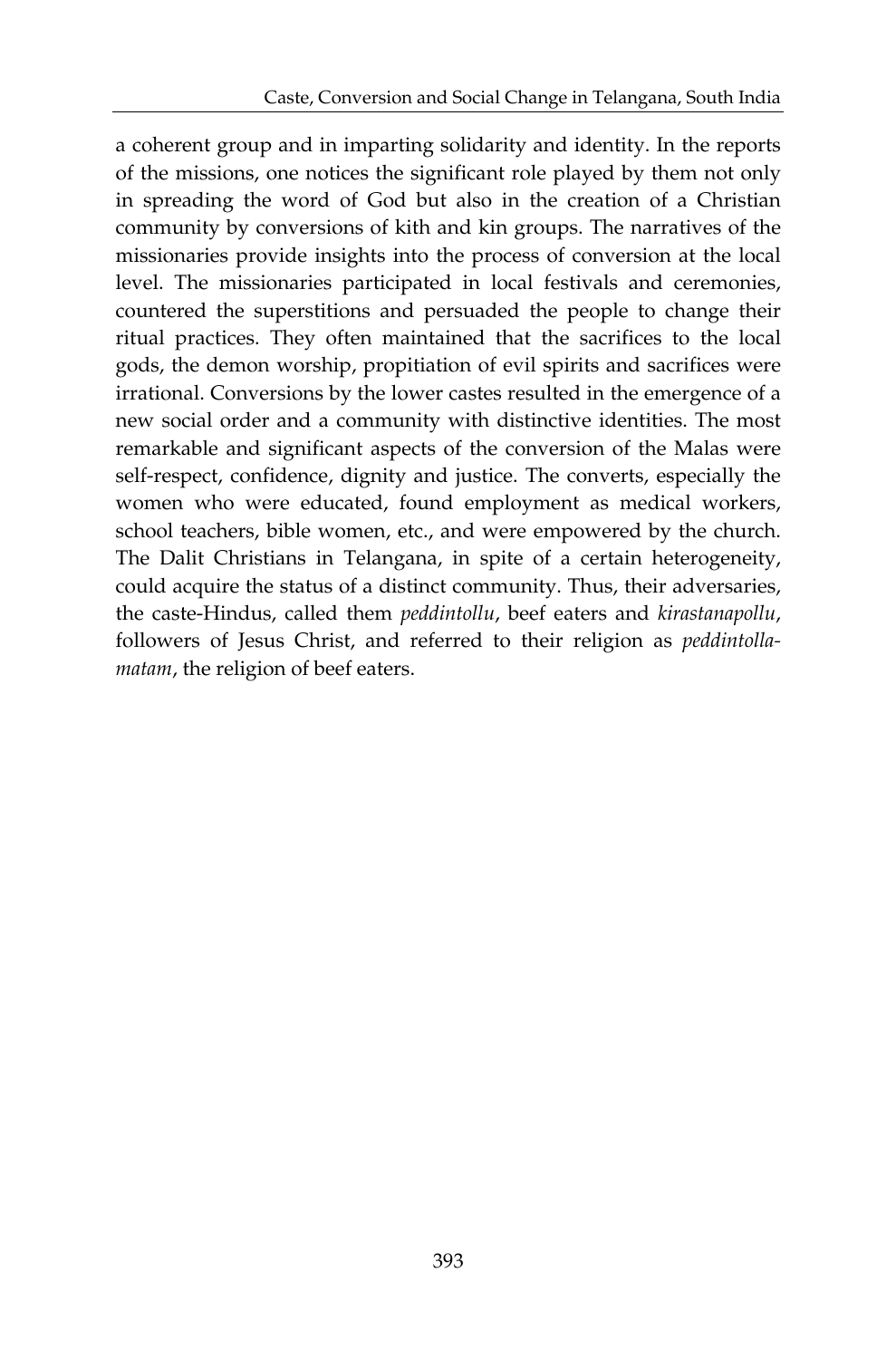a coherent group and in imparting solidarity and identity. In the reports of the missions, one notices the significant role played by them not only in spreading the word of God but also in the creation of a Christian community by conversions of kith and kin groups. The narratives of the missionaries provide insights into the process of conversion at the local level. The missionaries participated in local festivals and ceremonies, countered the superstitions and persuaded the people to change their ritual practices. They often maintained that the sacrifices to the local gods, the demon worship, propitiation of evil spirits and sacrifices were irrational. Conversions by the lower castes resulted in the emergence of a new social order and a community with distinctive identities. The most remarkable and significant aspects of the conversion of the Malas were self-respect, confidence, dignity and justice. The converts, especially the women who were educated, found employment as medical workers, school teachers, bible women, etc., and were empowered by the church. The Dalit Christians in Telangana, in spite of a certain heterogeneity, could acquire the status of a distinct community. Thus, their adversaries, the caste-Hindus, called them *peddintollu*, beef eaters and *kirastanapollu*, followers of Jesus Christ, and referred to their religion as *peddintollamatam*, the religion of beef eaters.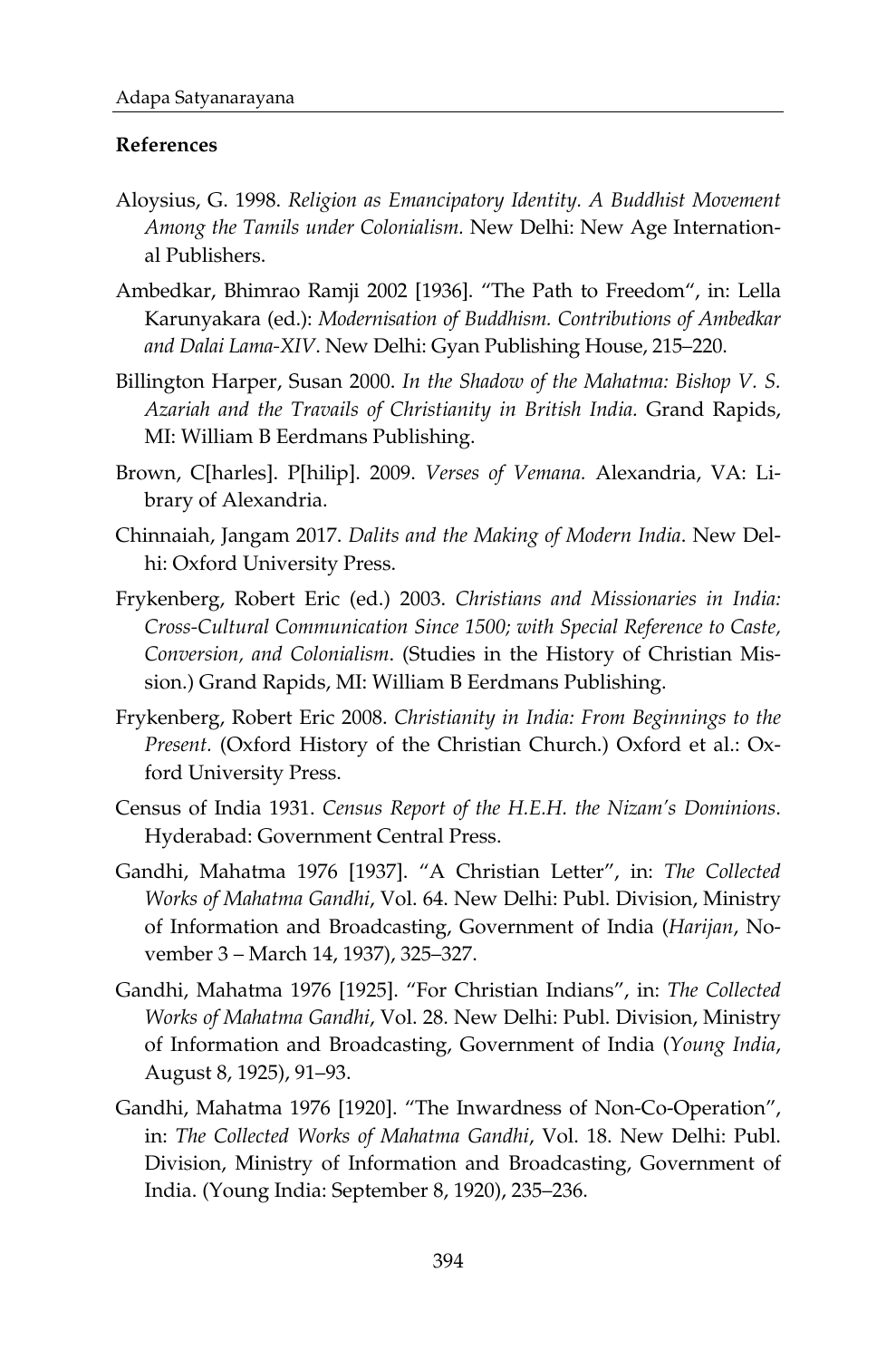## **References**

- Aloysius, G. 1998. *Religion as Emancipatory Identity. A Buddhist Movement Among the Tamils under Colonialism.* New Delhi: New Age International Publishers.
- Ambedkar, Bhimrao Ramji 2002 [1936]. "The Path to Freedom", in: Lella Karunyakara (ed.): *Modernisation of Buddhism. Contributions of Ambedkar and Dalai Lama-XIV*. New Delhi: Gyan Publishing House, 215–220.
- Billington Harper, Susan 2000. *In the Shadow of the Mahatma: Bishop V. S. Azariah and the Travails of Christianity in British India.* Grand Rapids, MI: William B Eerdmans Publishing.
- Brown, C[harles]. P[hilip]. 2009. *Verses of Vemana.* Alexandria, VA: Library of Alexandria.
- Chinnaiah, Jangam 2017. *Dalits and the Making of Modern India*. New Delhi: Oxford University Press.
- Frykenberg, Robert Eric (ed.) 2003. *Christians and Missionaries in India: Cross-Cultural Communication Since 1500; with Special Reference to Caste, Conversion, and Colonialism*. (Studies in the History of Christian Mission.) Grand Rapids, MI: William B Eerdmans Publishing.
- Frykenberg, Robert Eric 2008. *Christianity in India: From Beginnings to the Present.* (Oxford History of the Christian Church.) Oxford et al.: Oxford University Press.
- Census of India 1931. *Census Report of the H.E.H. the Nizam's Dominions*. Hyderabad: Government Central Press.
- Gandhi, Mahatma 1976 [1937]. "A Christian Letter", in: *The Collected Works of Mahatma Gandhi*, Vol. 64. New Delhi: Publ. Division, Ministry of Information and Broadcasting, Government of India (*Harijan*, November 3 – March 14, 1937), 325–327.
- Gandhi, Mahatma 1976 [1925]. "For Christian Indians", in: *The Collected Works of Mahatma Gandhi*, Vol. 28. New Delhi: Publ. Division, Ministry of Information and Broadcasting, Government of India (*Young India*, August 8, 1925), 91–93.
- Gandhi, Mahatma 1976 [1920]. "The Inwardness of Non-Co-Operation", in: *The Collected Works of Mahatma Gandhi*, Vol. 18. New Delhi: Publ. Division, Ministry of Information and Broadcasting, Government of India. (Young India: September 8, 1920), 235–236.